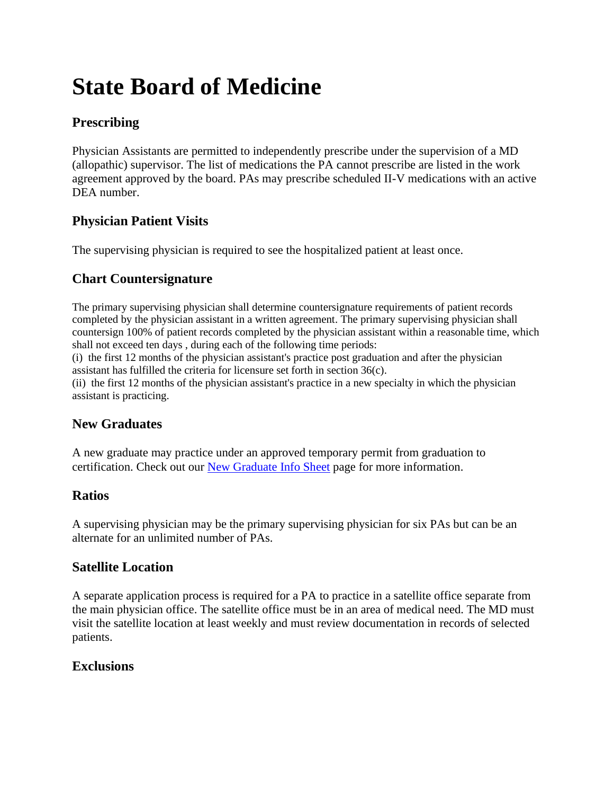# **State Board of Medicine**

## **Prescribing**

Physician Assistants are permitted to independently prescribe under the supervision of a MD (allopathic) supervisor. The list of medications the PA cannot prescribe are listed in the work agreement approved by the board. PAs may prescribe scheduled II-V medications with an active DEA number.

## **Physician Patient Visits**

The supervising physician is required to see the hospitalized patient at least once.

## **Chart Countersignature**

The primary supervising physician shall determine countersignature requirements of patient records completed by the physician assistant in a written agreement. The primary supervising physician shall countersign 100% of patient records completed by the physician assistant within a reasonable time, which shall not exceed ten days , during each of the following time periods:

(i) the first 12 months of the physician assistant's practice post graduation and after the physician assistant has fulfilled the criteria for licensure set forth in section 36(c).

(ii) the first 12 months of the physician assistant's practice in a new specialty in which the physician assistant is practicing.

## **New Graduates**

A new graduate may practice under an approved temporary permit from graduation to certification. Check out our [New Graduate Info Sheet](https://pspa.net/career-center/job-seekers/new-graduate-info-sheet/) page for more information.

## **Ratios**

A supervising physician may be the primary supervising physician for six PAs but can be an alternate for an unlimited number of PAs.

## **Satellite Location**

A separate application process is required for a PA to practice in a satellite office separate from the main physician office. The satellite office must be in an area of medical need. The MD must visit the satellite location at least weekly and must review documentation in records of selected patients.

### **Exclusions**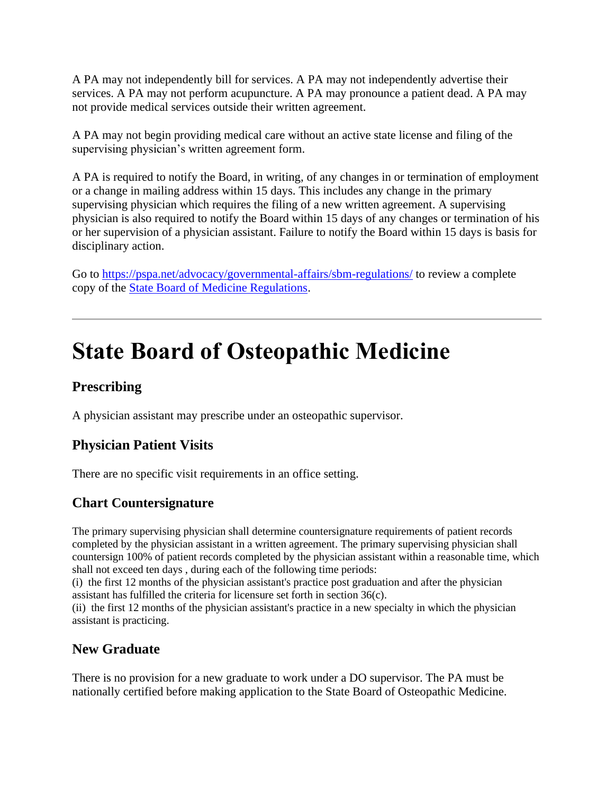A PA may not independently bill for services. A PA may not independently advertise their services. A PA may not perform acupuncture. A PA may pronounce a patient dead. A PA may not provide medical services outside their written agreement.

A PA may not begin providing medical care without an active state license and filing of the supervising physician's written agreement form.

A PA is required to notify the Board, in writing, of any changes in or termination of employment or a change in mailing address within 15 days. This includes any change in the primary supervising physician which requires the filing of a new written agreement. A supervising physician is also required to notify the Board within 15 days of any changes or termination of his or her supervision of a physician assistant. Failure to notify the Board within 15 days is basis for disciplinary action.

Go to<https://pspa.net/advocacy/governmental-affairs/sbm-regulations/> to review a complete copy of the [State Board of Medicine Regulations.](https://pspa.net/governmental-affairs/sbm-regulations/)

## **State Board of Osteopathic Medicine**

## **Prescribing**

A physician assistant may prescribe under an osteopathic supervisor.

## **Physician Patient Visits**

There are no specific visit requirements in an office setting.

### **Chart Countersignature**

The primary supervising physician shall determine countersignature requirements of patient records completed by the physician assistant in a written agreement. The primary supervising physician shall countersign 100% of patient records completed by the physician assistant within a reasonable time, which shall not exceed ten days , during each of the following time periods: (i) the first 12 months of the physician assistant's practice post graduation and after the physician

assistant has fulfilled the criteria for licensure set forth in section 36(c).

(ii) the first 12 months of the physician assistant's practice in a new specialty in which the physician assistant is practicing.

### **New Graduate**

There is no provision for a new graduate to work under a DO supervisor. The PA must be nationally certified before making application to the State Board of Osteopathic Medicine.